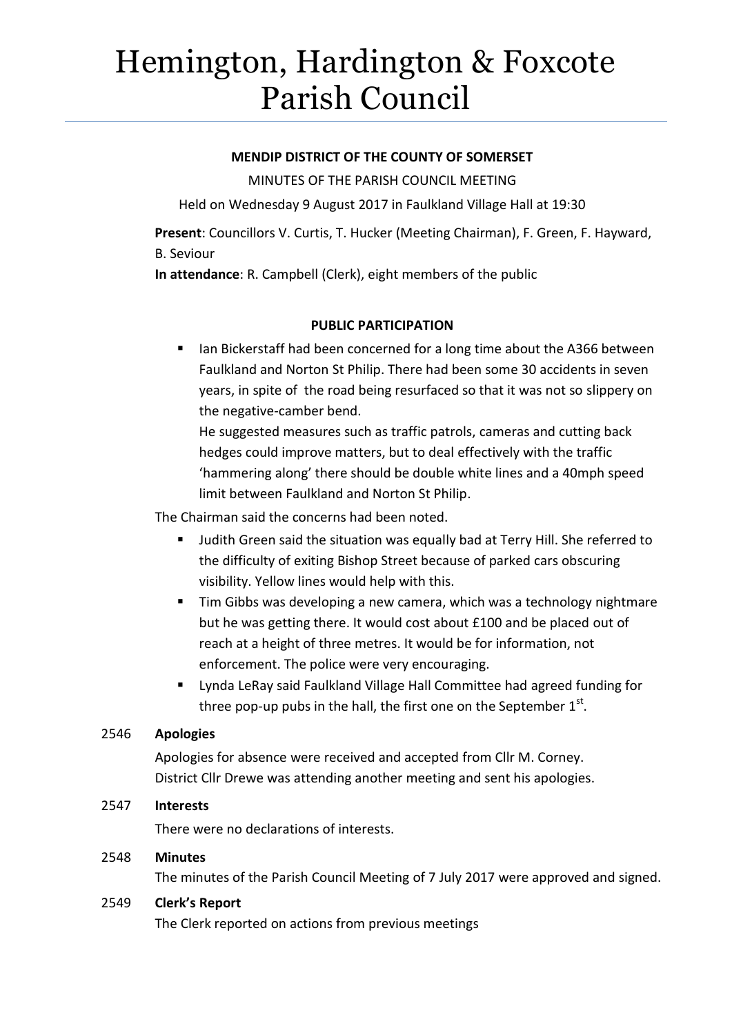# Hemington, Hardington & Foxcote Parish Council

# **MENDIP DISTRICT OF THE COUNTY OF SOMERSET**

MINUTES OF THE PARISH COUNCIL MEETING

Held on Wednesday 9 August 2017 in Faulkland Village Hall at 19:30

**Present**: Councillors V. Curtis, T. Hucker (Meeting Chairman), F. Green, F. Hayward, B. Seviour

**In attendance**: R. Campbell (Clerk), eight members of the public

# **PUBLIC PARTICIPATION**

 Ian Bickerstaff had been concerned for a long time about the A366 between Faulkland and Norton St Philip. There had been some 30 accidents in seven years, in spite of the road being resurfaced so that it was not so slippery on the negative-camber bend.

He suggested measures such as traffic patrols, cameras and cutting back hedges could improve matters, but to deal effectively with the traffic 'hammering along' there should be double white lines and a 40mph speed limit between Faulkland and Norton St Philip.

The Chairman said the concerns had been noted.

- **Judith Green said the situation was equally bad at Terry Hill. She referred to** the difficulty of exiting Bishop Street because of parked cars obscuring visibility. Yellow lines would help with this.
- **Tim Gibbs was developing a new camera, which was a technology nightmare** but he was getting there. It would cost about £100 and be placed out of reach at a height of three metres. It would be for information, not enforcement. The police were very encouraging.
- Lynda LeRay said Faulkland Village Hall Committee had agreed funding for three pop-up pubs in the hall, the first one on the September  $1<sup>st</sup>$ .

# 2546 **Apologies**

Apologies for absence were received and accepted from Cllr M. Corney. District Cllr Drewe was attending another meeting and sent his apologies.

# 2547 **Interests**

There were no declarations of interests.

# 2548 **Minutes**

The minutes of the Parish Council Meeting of 7 July 2017 were approved and signed.

# 2549 **Clerk's Report**

The Clerk reported on actions from previous meetings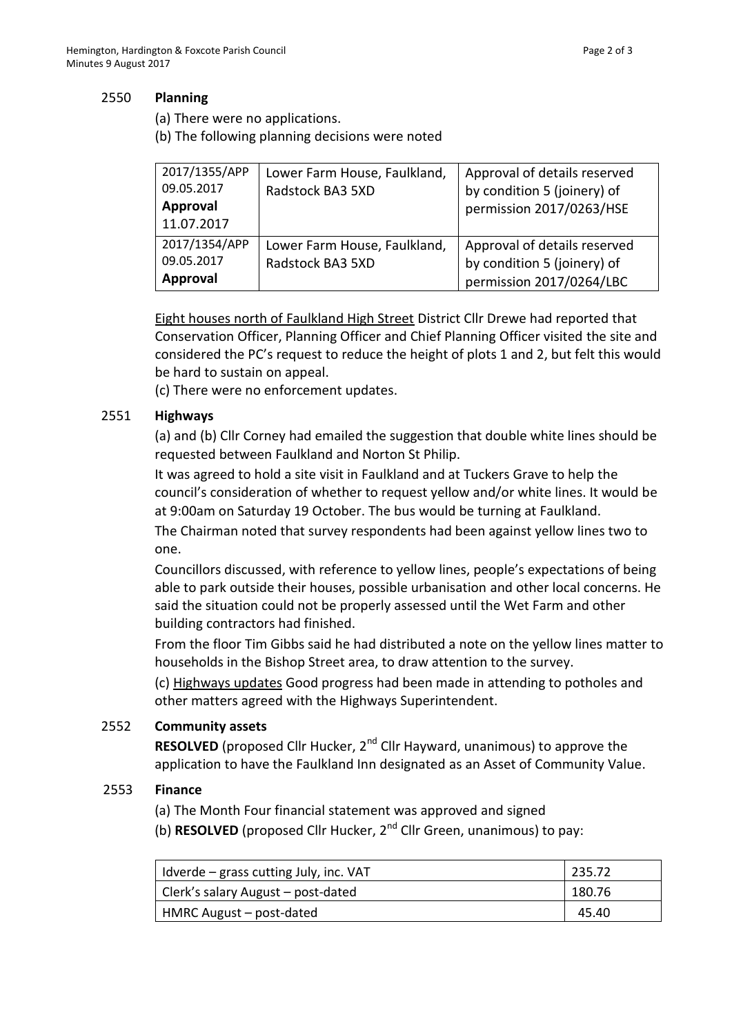### 2550 **Planning**

- (a) There were no applications.
- (b) The following planning decisions were noted

| 2017/1355/APP<br>09.05.2017<br>Approval<br>11.07.2017 | Lower Farm House, Faulkland,<br>Radstock BA3 5XD | Approval of details reserved<br>by condition 5 (joinery) of<br>permission 2017/0263/HSE |
|-------------------------------------------------------|--------------------------------------------------|-----------------------------------------------------------------------------------------|
| 2017/1354/APP<br>09.05.2017<br>Approval               | Lower Farm House, Faulkland,<br>Radstock BA3 5XD | Approval of details reserved<br>by condition 5 (joinery) of<br>permission 2017/0264/LBC |

Eight houses north of Faulkland High Street District Cllr Drewe had reported that Conservation Officer, Planning Officer and Chief Planning Officer visited the site and considered the PC's request to reduce the height of plots 1 and 2, but felt this would be hard to sustain on appeal.

(c) There were no enforcement updates.

## 2551 **Highways**

(a) and (b) Cllr Corney had emailed the suggestion that double white lines should be requested between Faulkland and Norton St Philip.

It was agreed to hold a site visit in Faulkland and at Tuckers Grave to help the council's consideration of whether to request yellow and/or white lines. It would be at 9:00am on Saturday 19 October. The bus would be turning at Faulkland.

The Chairman noted that survey respondents had been against yellow lines two to one.

Councillors discussed, with reference to yellow lines, people's expectations of being able to park outside their houses, possible urbanisation and other local concerns. He said the situation could not be properly assessed until the Wet Farm and other building contractors had finished.

From the floor Tim Gibbs said he had distributed a note on the yellow lines matter to households in the Bishop Street area, to draw attention to the survey.

(c) Highways updates Good progress had been made in attending to potholes and other matters agreed with the Highways Superintendent.

### 2552 **Community assets**

**RESOLVED** (proposed Cllr Hucker, 2<sup>nd</sup> Cllr Hayward, unanimous) to approve the application to have the Faulkland Inn designated as an Asset of Community Value.

# 2553 **Finance**

- (a) The Month Four financial statement was approved and signed
- (b) **RESOLVED** (proposed Cllr Hucker, 2nd Cllr Green, unanimous) to pay:

| Idverde – grass cutting July, inc. VAT | 235.72 |
|----------------------------------------|--------|
| Clerk's salary August - post-dated     | 180.76 |
| HMRC August - post-dated               | 45.40  |